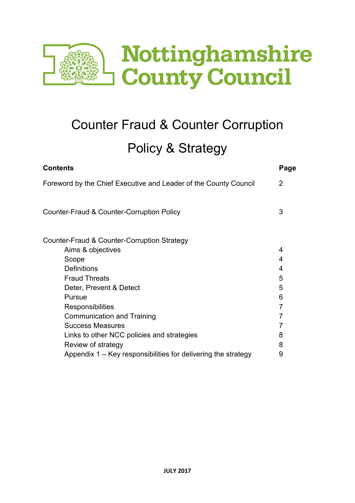

# Counter Fraud & Counter Corruption Policy & Strategy

| <b>Contents</b>                                                  | Page |
|------------------------------------------------------------------|------|
| Foreword by the Chief Executive and Leader of the County Council | 2    |
| Counter-Fraud & Counter-Corruption Policy                        | 3    |
| Counter-Fraud & Counter-Corruption Strategy                      |      |
| Aims & objectives                                                | 4    |
| Scope                                                            | 4    |
| <b>Definitions</b>                                               | 4    |
| <b>Fraud Threats</b>                                             | 5    |
| Deter, Prevent & Detect                                          | 5    |
| Pursue                                                           | 6    |
| <b>Responsibilities</b>                                          | 7    |
| <b>Communication and Training</b>                                | 7    |
| <b>Success Measures</b>                                          | 7    |
| Links to other NCC policies and strategies                       | 8    |
| Review of strategy                                               | 8    |
| Appendix 1 – Key responsibilities for delivering the strategy    | 9    |
|                                                                  |      |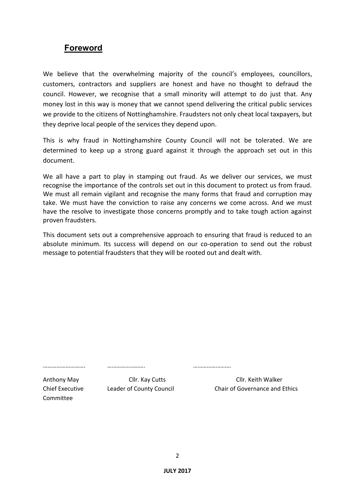# **Foreword**

We believe that the overwhelming majority of the council's employees, councillors, customers, contractors and suppliers are honest and have no thought to defraud the council. However, we recognise that a small minority will attempt to do just that. Any money lost in this way is money that we cannot spend delivering the critical public services we provide to the citizens of Nottinghamshire. Fraudsters not only cheat local taxpayers, but they deprive local people of the services they depend upon.

This is why fraud in Nottinghamshire County Council will not be tolerated. We are determined to keep up a strong guard against it through the approach set out in this document.

We all have a part to play in stamping out fraud. As we deliver our services, we must recognise the importance of the controls set out in this document to protect us from fraud. We must all remain vigilant and recognise the many forms that fraud and corruption may take. We must have the conviction to raise any concerns we come across. And we must have the resolve to investigate those concerns promptly and to take tough action against proven fraudsters.

This document sets out a comprehensive approach to ensuring that fraud is reduced to an absolute minimum. Its success will depend on our co-operation to send out the robust message to potential fraudsters that they will be rooted out and dealt with.

………………………. ……………………. …………………….

Committee

Anthony May Cllr. Kay Cutts Cllr. Keith Walker Chief Executive Leader of County Council Chair of Governance and Ethics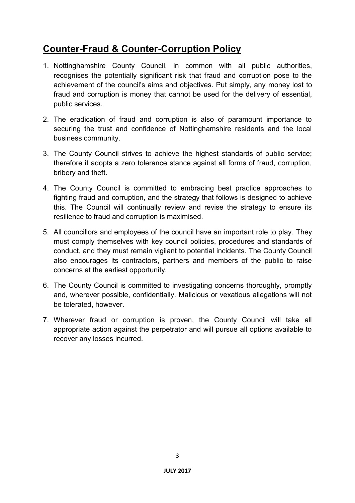# **Counter-Fraud & Counter-Corruption Policy**

- 1. Nottinghamshire County Council, in common with all public authorities, recognises the potentially significant risk that fraud and corruption pose to the achievement of the council's aims and objectives. Put simply, any money lost to fraud and corruption is money that cannot be used for the delivery of essential, public services.
- 2. The eradication of fraud and corruption is also of paramount importance to securing the trust and confidence of Nottinghamshire residents and the local business community.
- 3. The County Council strives to achieve the highest standards of public service; therefore it adopts a zero tolerance stance against all forms of fraud, corruption, bribery and theft.
- 4. The County Council is committed to embracing best practice approaches to fighting fraud and corruption, and the strategy that follows is designed to achieve this. The Council will continually review and revise the strategy to ensure its resilience to fraud and corruption is maximised.
- 5. All councillors and employees of the council have an important role to play. They must comply themselves with key council policies, procedures and standards of conduct, and they must remain vigilant to potential incidents. The County Council also encourages its contractors, partners and members of the public to raise concerns at the earliest opportunity.
- 6. The County Council is committed to investigating concerns thoroughly, promptly and, wherever possible, confidentially. Malicious or vexatious allegations will not be tolerated, however.
- 7. Wherever fraud or corruption is proven, the County Council will take all appropriate action against the perpetrator and will pursue all options available to recover any losses incurred.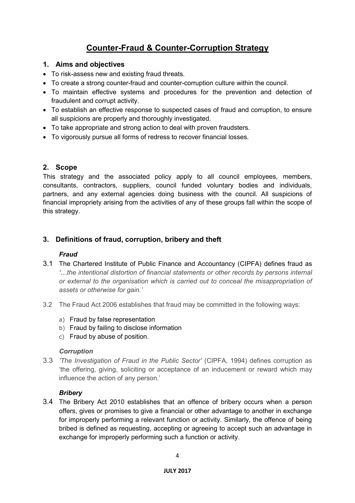# **Counter-Fraud & Counter-Corruption Strategy**

# **1. Aims and objectives**

- To risk-assess new and existing fraud threats.
- To create a strong counter-fraud and counter-corruption culture within the council.
- To maintain effective systems and procedures for the prevention and detection of fraudulent and corrupt activity.
- To establish an effective response to suspected cases of fraud and corruption, to ensure all suspicions are properly and thoroughly investigated.
- To take appropriate and strong action to deal with proven fraudsters.
- To vigorously pursue all forms of redress to recover financial losses.

## **2. Scope**

This strategy and the associated policy apply to all council employees, members, consultants, contractors, suppliers, council funded voluntary bodies and individuals, partners, and any external agencies doing business with the council. All suspicions of financial impropriety arising from the activities of any of these groups fall within the scope of this strategy.

# **3. Definitions of fraud, corruption, bribery and theft**

# *Fraud*

- 3.1 The Chartered Institute of Public Finance and Accountancy (CIPFA) defines fraud as *'…the intentional distortion of financial statements or other records by persons internal or external to the organisation which is carried out to conceal the misappropriation of assets or otherwise for gain.'*
- 3.2 The Fraud Act 2006 establishes that fraud may be committed in the following ways:
	- a) Fraud by false representation
	- b) Fraud by failing to disclose information
	- c) Fraud by abuse of position.

#### *Corruption*

3.3 *'The Investigation of Fraud in the Public Sector'* (CIPFA, 1994) defines corruption as 'the offering, giving, soliciting or acceptance of an inducement or reward which may influence the action of any person.'

#### *Bribery*

3.4 The Bribery Act 2010 establishes that an offence of bribery occurs when a person offers, gives or promises to give a financial or other advantage to another in exchange for improperly performing a relevant function or activity. Similarly, the offence of being bribed is defined as requesting, accepting or agreeing to accept such an advantage in exchange for improperly performing such a function or activity.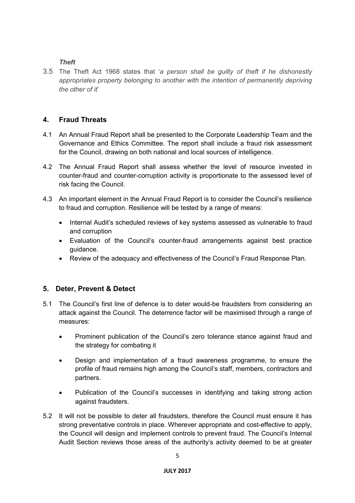#### *Theft*

3.5 The Theft Act 1968 states that '*a person shall be guilty of theft if he dishonestly appropriates property belonging to another with the intention of permanently depriving the other of it*'

# **4. Fraud Threats**

- 4.1 An Annual Fraud Report shall be presented to the Corporate Leadership Team and the Governance and Ethics Committee. The report shall include a fraud risk assessment for the Council, drawing on both national and local sources of intelligence.
- 4.2 The Annual Fraud Report shall assess whether the level of resource invested in counter-fraud and counter-corruption activity is proportionate to the assessed level of risk facing the Council.
- 4.3 An important element in the Annual Fraud Report is to consider the Council's resilience to fraud and corruption. Resilience will be tested by a range of means:
	- Internal Audit's scheduled reviews of key systems assessed as vulnerable to fraud and corruption
	- Evaluation of the Council's counter-fraud arrangements against best practice guidance.
	- Review of the adequacy and effectiveness of the Council's Fraud Response Plan.

#### **5. Deter, Prevent & Detect**

- 5.1 The Council's first line of defence is to deter would-be fraudsters from considering an attack against the Council. The deterrence factor will be maximised through a range of measures:
	- Prominent publication of the Council's zero tolerance stance against fraud and the strategy for combating it
	- Design and implementation of a fraud awareness programme, to ensure the profile of fraud remains high among the Council's staff, members, contractors and partners.
	- Publication of the Council's successes in identifying and taking strong action against fraudsters.
- 5.2 It will not be possible to deter all fraudsters, therefore the Council must ensure it has strong preventative controls in place. Wherever appropriate and cost-effective to apply, the Council will design and implement controls to prevent fraud. The Council's Internal Audit Section reviews those areas of the authority's activity deemed to be at greater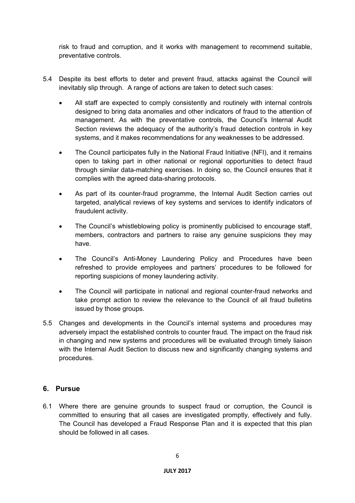risk to fraud and corruption, and it works with management to recommend suitable, preventative controls.

- 5.4 Despite its best efforts to deter and prevent fraud, attacks against the Council will inevitably slip through. A range of actions are taken to detect such cases:
	- All staff are expected to comply consistently and routinely with internal controls designed to bring data anomalies and other indicators of fraud to the attention of management. As with the preventative controls, the Council's Internal Audit Section reviews the adequacy of the authority's fraud detection controls in key systems, and it makes recommendations for any weaknesses to be addressed.
	- The Council participates fully in the National Fraud Initiative (NFI), and it remains open to taking part in other national or regional opportunities to detect fraud through similar data-matching exercises. In doing so, the Council ensures that it complies with the agreed data-sharing protocols.
	- As part of its counter-fraud programme, the Internal Audit Section carries out targeted, analytical reviews of key systems and services to identify indicators of fraudulent activity.
	- The Council's whistleblowing policy is prominently publicised to encourage staff, members, contractors and partners to raise any genuine suspicions they may have.
	- The Council's Anti-Money Laundering Policy and Procedures have been refreshed to provide employees and partners' procedures to be followed for reporting suspicions of money laundering activity.
	- The Council will participate in national and regional counter-fraud networks and take prompt action to review the relevance to the Council of all fraud bulletins issued by those groups.
- 5.5 Changes and developments in the Council's internal systems and procedures may adversely impact the established controls to counter fraud. The impact on the fraud risk in changing and new systems and procedures will be evaluated through timely liaison with the Internal Audit Section to discuss new and significantly changing systems and procedures.

#### **6. Pursue**

6.1 Where there are genuine grounds to suspect fraud or corruption, the Council is committed to ensuring that all cases are investigated promptly, effectively and fully. The Council has developed a Fraud Response Plan and it is expected that this plan should be followed in all cases.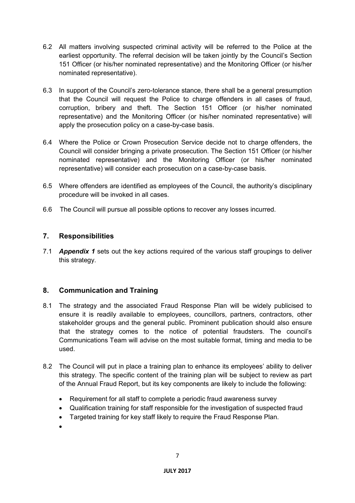- 6.2 All matters involving suspected criminal activity will be referred to the Police at the earliest opportunity. The referral decision will be taken jointly by the Council's Section 151 Officer (or his/her nominated representative) and the Monitoring Officer (or his/her nominated representative).
- 6.3 In support of the Council's zero-tolerance stance, there shall be a general presumption that the Council will request the Police to charge offenders in all cases of fraud, corruption, bribery and theft. The Section 151 Officer (or his/her nominated representative) and the Monitoring Officer (or his/her nominated representative) will apply the prosecution policy on a case-by-case basis.
- 6.4 Where the Police or Crown Prosecution Service decide not to charge offenders, the Council will consider bringing a private prosecution. The Section 151 Officer (or his/her nominated representative) and the Monitoring Officer (or his/her nominated representative) will consider each prosecution on a case-by-case basis.
- 6.5 Where offenders are identified as employees of the Council, the authority's disciplinary procedure will be invoked in all cases.
- 6.6 The Council will pursue all possible options to recover any losses incurred.

# **7. Responsibilities**

7.1 *Appendix 1* sets out the key actions required of the various staff groupings to deliver this strategy.

# **8. Communication and Training**

- 8.1 The strategy and the associated Fraud Response Plan will be widely publicised to ensure it is readily available to employees, councillors, partners, contractors, other stakeholder groups and the general public. Prominent publication should also ensure that the strategy comes to the notice of potential fraudsters. The council's Communications Team will advise on the most suitable format, timing and media to be used.
- 8.2 The Council will put in place a training plan to enhance its employees' ability to deliver this strategy. The specific content of the training plan will be subject to review as part of the Annual Fraud Report, but its key components are likely to include the following:
	- Requirement for all staff to complete a periodic fraud awareness survey
	- Qualification training for staff responsible for the investigation of suspected fraud
	- Targeted training for key staff likely to require the Fraud Response Plan.
	- •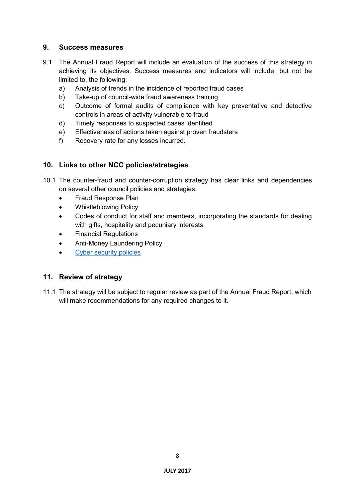#### **9. Success measures**

- 9.1 The Annual Fraud Report will include an evaluation of the success of this strategy in achieving its objectives. Success measures and indicators will include, but not be limited to, the following:
	- a) Analysis of trends in the incidence of reported fraud cases
	- b) Take-up of council-wide fraud awareness training
	- c) Outcome of formal audits of compliance with key preventative and detective controls in areas of activity vulnerable to fraud
	- d) Timely responses to suspected cases identified
	- e) Effectiveness of actions taken against proven fraudsters
	- f) Recovery rate for any losses incurred.

## **10. Links to other NCC policies/strategies**

- 10.1 The counter-fraud and counter-corruption strategy has clear links and dependencies on several other council policies and strategies:
	- Fraud Response Plan
	- Whistleblowing Policy
	- Codes of conduct for staff and members, incorporating the standards for dealing with gifts, hospitality and pecuniary interests
	- Financial Regulations
	- Anti-Money Laundering Policy
	- [Cyber security policies](http://intranet.nottscc.gov.uk/it/itsecurity/)

#### **11. Review of strategy**

11.1 The strategy will be subject to regular review as part of the Annual Fraud Report, which will make recommendations for any required changes to it.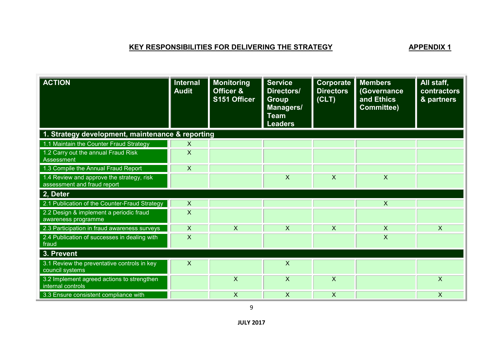# **KEY RESPONSIBILITIES FOR DELIVERING THE STRATEGY APPENDIX 1**

| <b>ACTION</b>                                                            | Internal<br><b>Audit</b> | <b>Monitoring</b><br>Officer &<br>S151 Officer | <b>Service</b><br>Directors/<br><b>Group</b><br>Managers/<br><b>Team</b><br><b>Leaders</b> | <b>Corporate</b><br><b>Directors</b><br>(CLT) | <b>Members</b><br>(Governance<br>and Ethics<br><b>Committee)</b> | All staff,<br>contractors<br>& partners |
|--------------------------------------------------------------------------|--------------------------|------------------------------------------------|--------------------------------------------------------------------------------------------|-----------------------------------------------|------------------------------------------------------------------|-----------------------------------------|
| 1. Strategy development, maintenance & reporting                         |                          |                                                |                                                                                            |                                               |                                                                  |                                         |
| 1.1 Maintain the Counter Fraud Strategy                                  | $\mathsf{X}$             |                                                |                                                                                            |                                               |                                                                  |                                         |
| 1.2 Carry out the annual Fraud Risk<br>Assessment                        | X                        |                                                |                                                                                            |                                               |                                                                  |                                         |
| 1.3 Compile the Annual Fraud Report                                      | X                        |                                                |                                                                                            |                                               |                                                                  |                                         |
| 1.4 Review and approve the strategy, risk<br>assessment and fraud report |                          |                                                | X                                                                                          | X                                             | X                                                                |                                         |
| 2, Deter                                                                 |                          |                                                |                                                                                            |                                               |                                                                  |                                         |
| 2.1 Publication of the Counter-Fraud Strategy                            | $\mathsf{X}$             |                                                |                                                                                            |                                               | $\overline{X}$                                                   |                                         |
| 2.2 Design & implement a periodic fraud<br>awareness programme           | X                        |                                                |                                                                                            |                                               |                                                                  |                                         |
| 2.3 Participation in fraud awareness surveys                             | X                        | $\overline{\mathsf{X}}$                        | X                                                                                          | $\boldsymbol{\mathsf{X}}$                     | $\overline{\mathsf{X}}$                                          | $\overline{\mathsf{X}}$                 |
| 2.4 Publication of successes in dealing with<br>fraud                    | X                        |                                                |                                                                                            |                                               | $\overline{\mathsf{X}}$                                          |                                         |
| 3. Prevent                                                               |                          |                                                |                                                                                            |                                               |                                                                  |                                         |
| 3.1 Review the preventative controls in key<br>council systems           | X                        |                                                | X                                                                                          |                                               |                                                                  |                                         |
| 3.2 Implement agreed actions to strengthen<br>internal controls          |                          | X                                              | $\boldsymbol{\mathsf{X}}$                                                                  | $\overline{\mathsf{x}}$                       |                                                                  | $\boldsymbol{\mathsf{X}}$               |
| 3.3 Ensure consistent compliance with                                    |                          | X                                              | X                                                                                          | X                                             |                                                                  | X                                       |

9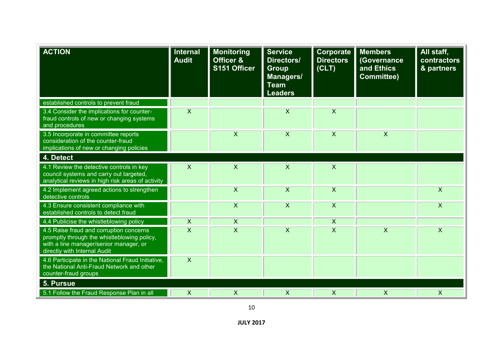| <b>ACTION</b>                                                                                                                                                    | <b>Internal</b><br><b>Audit</b> | <b>Monitoring</b><br><b>Officer &amp;</b><br>S151 Officer | <b>Service</b><br>Directors/<br><b>Group</b><br>Managers/<br><b>Team</b><br><b>Leaders</b> | Corporate<br><b>Directors</b><br>(CLT) | <b>Members</b><br>(Governance<br>and Ethics<br><b>Committee)</b> | All staff,<br>contractors<br>& partners |
|------------------------------------------------------------------------------------------------------------------------------------------------------------------|---------------------------------|-----------------------------------------------------------|--------------------------------------------------------------------------------------------|----------------------------------------|------------------------------------------------------------------|-----------------------------------------|
| established controls to prevent fraud                                                                                                                            |                                 |                                                           |                                                                                            |                                        |                                                                  |                                         |
| 3.4 Consider the implications for counter-<br>fraud controls of new or changing systems<br>and procedures                                                        | $\boldsymbol{\mathsf{X}}$       |                                                           | $\mathsf{X}$                                                                               | $\boldsymbol{\mathsf{X}}$              |                                                                  |                                         |
| 3.5 Incorporate in committee reports<br>consideration of the counter-fraud<br>implications of new or changing policies                                           |                                 | $\boldsymbol{\mathsf{X}}$                                 | $\times$                                                                                   | $\boldsymbol{\mathsf{X}}$              | $\boldsymbol{\mathsf{X}}$                                        |                                         |
| 4. Detect                                                                                                                                                        |                                 |                                                           |                                                                                            |                                        |                                                                  |                                         |
| 4.1 Review the detective controls in key<br>council systems and carry out targeted,<br>analytical reviews in high risk areas of activity                         | $\mathsf{X}$                    | $\boldsymbol{\mathsf{X}}$                                 | X                                                                                          | $\boldsymbol{\mathsf{X}}$              |                                                                  |                                         |
| 4.2 Implement agreed actions to strengthen<br>detective controls                                                                                                 |                                 | $\boldsymbol{\mathsf{X}}$                                 | $\times$                                                                                   | $\boldsymbol{\mathsf{X}}$              |                                                                  | $\sf X$                                 |
| 4.3 Ensure consistent compliance with<br>established controls to detect fraud                                                                                    |                                 | $\boldsymbol{\mathsf{X}}$                                 | $\mathsf{X}$                                                                               | $\boldsymbol{\mathsf{X}}$              |                                                                  | $\boldsymbol{\mathsf{X}}$               |
| 4.4 Publicise the whistleblowing policy                                                                                                                          | $\mathsf{X}$                    | $\boldsymbol{\mathsf{X}}$                                 |                                                                                            | $\boldsymbol{\mathsf{X}}$              |                                                                  |                                         |
| 4.5 Raise fraud and corruption concerns<br>promptly through the whistleblowing policy,<br>with a line manager/senior manager, or<br>directly with Internal Audit | $\overline{\mathsf{x}}$         | $\overline{\mathsf{x}}$                                   | $\overline{\mathsf{x}}$                                                                    | $\overline{\mathsf{x}}$                | $\overline{\mathsf{x}}$                                          | $\overline{\mathsf{x}}$                 |
| 4.6 Participate in the National Fraud Initiative,<br>the National Anti-Fraud Network and other<br>counter-fraud groups                                           | $\mathsf{X}$                    |                                                           |                                                                                            |                                        |                                                                  |                                         |
| 5. Pursue                                                                                                                                                        |                                 |                                                           |                                                                                            |                                        |                                                                  |                                         |
| 5.1 Follow the Fraud Response Plan in all                                                                                                                        | $\boldsymbol{\mathsf{X}}$       | $\boldsymbol{\mathsf{X}}$                                 | X                                                                                          | $\boldsymbol{\mathsf{X}}$              | $\times$                                                         | $\boldsymbol{\mathsf{X}}$               |